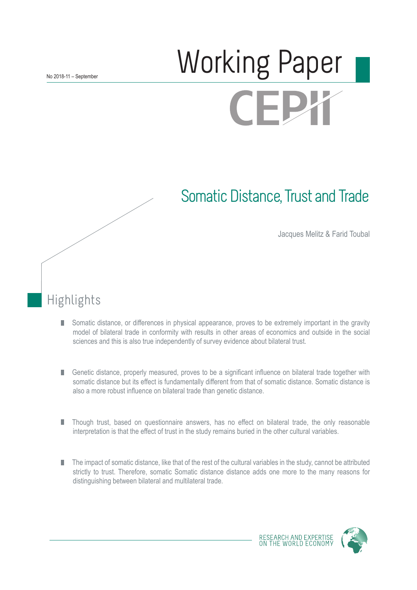# Norking Paper CEPX

# Somatic Distance, Trust and Trade

Jacques Melitz & Farid Toubal

## Highlights

- Somatic distance, or differences in physical appearance, proves to be extremely important in the gravity П model of bilateral trade in conformity with results in other areas of economics and outside in the social sciences and this is also true independently of survey evidence about bilateral trust.
- Genetic distance, properly measured, proves to be a significant influence on bilateral trade together with somatic distance but its effect is fundamentally different from that of somatic distance. Somatic distance is also a more robust influence on bilateral trade than genetic distance.
- Though trust, based on questionnaire answers, has no effect on bilateral trade, the only reasonable П interpretation is that the effect of trust in the study remains buried in the other cultural variables.
- П The impact of somatic distance, like that of the rest of the cultural variables in the study, cannot be attributed strictly to trust. Therefore, somatic Somatic distance distance adds one more to the many reasons for distinguishing between bilateral and multilateral trade.

RESEARCH AND EXPERTIS<br>ON THE WORLD ECONOM

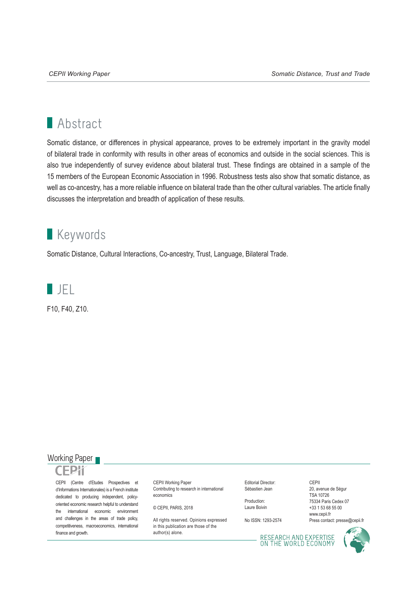## **Abstract**

Somatic distance, or differences in physical appearance, proves to be extremely important in the gravity model of bilateral trade in conformity with results in other areas of economics and outside in the social sciences. This is also true independently of survey evidence about bilateral trust. These findings are obtained in a sample of the 15 members of the European Economic Association in 1996. Robustness tests also show that somatic distance, as well as co-ancestry, has a more reliable influence on bilateral trade than the other cultural variables. The article finally discusses the interpretation and breadth of application of these results.

## **Keywords**

Somatic Distance, Cultural Interactions, Co-ancestry, Trust, Language, Bilateral Trade.



F10, F40, Z10.



CEPII (Centre d'Etudes Prospectives et d'Informations Internationales) is a French institute dedicated to producing independent, policyoriented economic research helpful to understand the international economic environment and challenges in the areas of trade policy, competitiveness, macroeconomics, international finance and growth.

CEPII Working Paper Contributing to research in international economics

© CEPII, PARIS, 2018

All rights reserved. Opinions expressed in this publication are those of the author(s) alone.

Editorial Director: Sébastien Jean

Production: Laure Boivin

No ISSN: 1293-2574

CEPII 20, avenue de Ségur TSA 10726 75334 Paris Cedex 07 +33 1 53 68 55 00 www.cepii.fr Press contact: presse@cepii.fr

RESEARCH AND EXPERTISE<br>ON THE WORLD ECONOMY

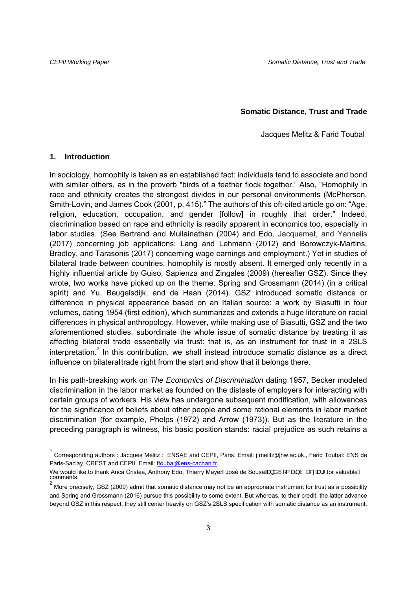#### **Somatic Distance, Trust and Trade**

Jacques Melitz & Farid Toubal $<sup>1</sup>$ </sup>

#### **1. Introduction**

-

In sociology, homophily is taken as an established fact: individuals tend to associate and bond with similar others, as in the proverb "birds of a feather flock together." Also, "Homophily in race and ethnicity creates the strongest divides in our personal environments (McPherson, Smith-Lovin, and James Cook (2001, p. 415)." The authors of this oft-cited article go on: "Age, religion, education, occupation, and gender [follow] in roughly that order." Indeed, discrimination based on race and ethnicity is readily apparent in economics too, especially in labor studies. (See Bertrand and Mullainathan (2004) and Edo*,* Jacquemet, and Yannelis (2017) concerning job applications; Lang and Lehmann (2012) and Borowczyk-Martins, Bradley, and Tarasonis (2017) concerning wage earnings and employment.) Yet in studies of bilateral trade between countries, homophily is mostly absent. It emerged only recently in a highly influential article by Guiso, Sapienza and Zingales (2009) (hereafter GSZ). Since they wrote, two works have picked up on the theme: Spring and Grossmann (2014) (in a critical spirit) and Yu, Beugelsdijk, and de Haan (2014). GSZ introduced somatic distance or difference in physical appearance based on an Italian source: a work by Biasutti in four volumes, dating 1954 (first edition), which summarizes and extends a huge literature on racial differences in physical anthropology. However, while making use of Biasutti, GSZ and the two aforementioned studies, subordinate the whole issue of somatic distance by treating it as affecting bilateral trade essentially via trust: that is, as an instrument for trust in a 2SLS interpretation.<sup>2</sup> In this contribution, we shall instead introduce somatic distance as a direct influence on bilateral trade right from the start and show that it belongs there.

In his path-breaking work on *The Economics of Discrimination* dating 1957, Becker modeled discrimination in the labor market as founded on the distaste of employers for interacting with certain groups of workers. His view has undergone subsequent modification, with allowances for the significance of beliefs about other people and some rational elements in labor market discrimination (for example, Phelps (1972) and Arrow (1973)). But as the literature in the preceding paragraph is witness, his basic position stands: racial prejudice as such retains a

<sup>&</sup>lt;sup>1</sup> Corresponding authors : Jacques Melitz : ENSAE and CEPII, Paris. Email: j.melitz@hw.ac.uk., Farid Toubal: ENS de Paris-Saclay, CREST and CEPII. Email: ftoubal@ens-cachan.fr.

We would like to thank Anca Cristea, Anthony Edo, Thierry MayerÊJosé de Sousa botaning [and Ar as as as a for valuable A comments.

 $2$  More precisely, GSZ (2009) admit that somatic distance may not be an appropriate instrument for trust as a possibility and Spring and Grossmann (2016) pursue this possibility to some extent. But whereas, to their credit, the latter advance beyond GSZ in this respect, they still center heavily on GSZ's 2SLS specification with somatic distance as an instrument.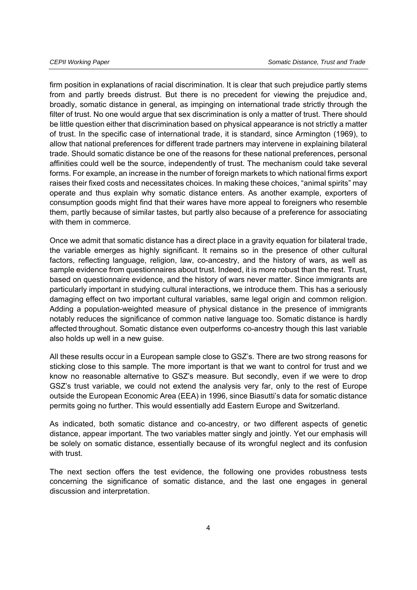firm position in explanations of racial discrimination. It is clear that such prejudice partly stems from and partly breeds distrust. But there is no precedent for viewing the prejudice and, broadly, somatic distance in general, as impinging on international trade strictly through the filter of trust. No one would argue that sex discrimination is only a matter of trust. There should be little question either that discrimination based on physical appearance is not strictly a matter of trust. In the specific case of international trade, it is standard, since Armington (1969), to allow that national preferences for different trade partners may intervene in explaining bilateral trade. Should somatic distance be one of the reasons for these national preferences, personal affinities could well be the source, independently of trust. The mechanism could take several forms. For example, an increase in the number of foreign markets to which national firms export raises their fixed costs and necessitates choices. In making these choices, "animal spirits" may operate and thus explain why somatic distance enters. As another example, exporters of consumption goods might find that their wares have more appeal to foreigners who resemble them, partly because of similar tastes, but partly also because of a preference for associating with them in commerce.

Once we admit that somatic distance has a direct place in a gravity equation for bilateral trade, the variable emerges as highly significant. It remains so in the presence of other cultural factors, reflecting language, religion, law, co-ancestry, and the history of wars, as well as sample evidence from questionnaires about trust. Indeed, it is more robust than the rest. Trust, based on questionnaire evidence, and the history of wars never matter. Since immigrants are particularly important in studying cultural interactions, we introduce them. This has a seriously damaging effect on two important cultural variables, same legal origin and common religion. Adding a population-weighted measure of physical distance in the presence of immigrants notably reduces the significance of common native language too. Somatic distance is hardly affected throughout. Somatic distance even outperforms co-ancestry though this last variable also holds up well in a new guise.

All these results occur in a European sample close to GSZ's. There are two strong reasons for sticking close to this sample. The more important is that we want to control for trust and we know no reasonable alternative to GSZ's measure. But secondly, even if we were to drop GSZ's trust variable, we could not extend the analysis very far, only to the rest of Europe outside the European Economic Area (EEA) in 1996, since Biasutti's data for somatic distance permits going no further. This would essentially add Eastern Europe and Switzerland.

As indicated, both somatic distance and co-ancestry, or two different aspects of genetic distance, appear important. The two variables matter singly and jointly. Yet our emphasis will be solely on somatic distance, essentially because of its wrongful neglect and its confusion with trust.

The next section offers the test evidence, the following one provides robustness tests concerning the significance of somatic distance, and the last one engages in general discussion and interpretation.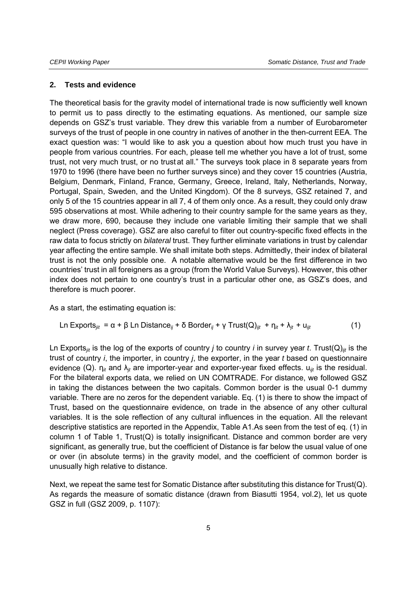#### **2. Tests and evidence**

The theoretical basis for the gravity model of international trade is now sufficiently well known to permit us to pass directly to the estimating equations. As mentioned, our sample size depends on GSZ's trust variable. They drew this variable from a number of Eurobarometer surveys of the trust of people in one country in natives of another in the then-current EEA. The exact question was: "I would like to ask you a question about how much trust you have in people from various countries. For each, please tell me whether you have a lot of trust, some trust, not very much trust, or no trust at all." The surveys took place in 8 separate years from 1970 to 1996 (there have been no further surveys since) and they cover 15 countries (Austria, Belgium, Denmark, Finland, France, Germany, Greece, Ireland, Italy, Netherlands, Norway, Portugal, Spain, Sweden, and the United Kingdom). Of the 8 surveys, GSZ retained 7, and only 5 of the 15 countries appear in all 7, 4 of them only once. As a result, they could only draw 595 observations at most. While adhering to their country sample for the same years as they, we draw more, 690, because they include one variable limiting their sample that we shall neglect (Press coverage). GSZ are also careful to filter out country-specific fixed effects in the raw data to focus strictly on *bilateral* trust. They further eliminate variations in trust by calendar year affecting the entire sample. We shall imitate both steps. Admittedly, their index of bilateral trust is not the only possible one. A notable alternative would be the first difference in two countries' trust in all foreigners as a group (from the World Value Surveys). However, this other index does not pertain to one country's trust in a particular other one, as GSZ's does, and therefore is much poorer.

As a start, the estimating equation is:

Ln Exports<sub>*jit*</sub> = 
$$
\alpha + \beta
$$
 Ln Distance<sub>*ij*</sub> +  $\delta$  Border<sub>*ij*</sub> +  $\gamma$  Trust(Q)<sub>*ijt*</sub> +  $\eta_{it} + \lambda_{jt}$  +  $u_{ijt}$  (1)

Ln Exports<sub>iit</sub> is the log of the exports of country *j* to country *i* in survey year *t*. Trust(Q)<sub>iit</sub> is the trust of country *i*, the importer, in country *j*, the exporter, in the year *t* based on questionnaire evidence (Q).  $\eta_{it}$  and  $\lambda_{it}$  are importer-year and exporter-year fixed effects.  $u_{it}$  is the residual. For the bilateral exports data, we relied on UN COMTRADE. For distance, we followed GSZ in taking the distances between the two capitals. Common border is the usual 0-1 dummy variable. There are no zeros for the dependent variable. Eq. (1) is there to show the impact of Trust, based on the questionnaire evidence, on trade in the absence of any other cultural variables. It is the sole reflection of any cultural influences in the equation. All the relevant descriptive statistics are reported in the Appendix, Table A1.As seen from the test of eq. (1) in column 1 of Table 1, Trust(Q) is totally insignificant. Distance and common border are very significant, as generally true, but the coefficient of Distance is far below the usual value of one or over (in absolute terms) in the gravity model, and the coefficient of common border is unusually high relative to distance.

Next, we repeat the same test for Somatic Distance after substituting this distance for Trust(Q). As regards the measure of somatic distance (drawn from Biasutti 1954, vol.2), let us quote GSZ in full (GSZ 2009, p. 1107):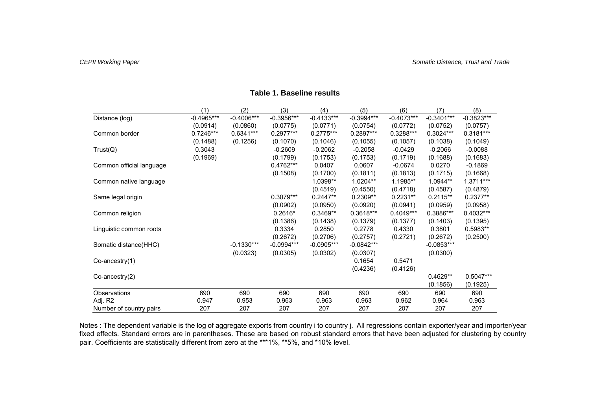|                          | (1)          | (2)          | (3)          | (4)          | (5)          | (6)          | (7)          | (8)          |
|--------------------------|--------------|--------------|--------------|--------------|--------------|--------------|--------------|--------------|
| Distance (log)           | $-0.4965***$ | $-0.4006***$ | $-0.3956***$ | $-0.4133***$ | $-0.3994***$ | $-0.4073***$ | $-0.3401***$ | $-0.3823***$ |
|                          | (0.0914)     | (0.0860)     | (0.0775)     | (0.0771)     | (0.0754)     | (0.0772)     | (0.0752)     | (0.0757)     |
| Common border            | $0.7246***$  | $0.6341***$  | 0.2977***    | $0.2775***$  | 0.2897***    | 0.3288***    | $0.3024***$  | $0.3181***$  |
|                          | (0.1488)     | (0.1256)     | (0.1070)     | (0.1046)     | (0.1055)     | (0.1057)     | (0.1038)     | (0.1049)     |
| Trust(Q)                 | 0.3043       |              | $-0.2609$    | $-0.2062$    | $-0.2058$    | $-0.0429$    | $-0.2066$    | $-0.0088$    |
|                          | (0.1969)     |              | (0.1799)     | (0.1753)     | (0.1753)     | (0.1719)     | (0.1688)     | (0.1683)     |
| Common official language |              |              | 0.4762***    | 0.0407       | 0.0607       | $-0.0674$    | 0.0270       | $-0.1869$    |
|                          |              |              | (0.1508)     | (0.1700)     | (0.1811)     | (0.1813)     | (0.1715)     | (0.1668)     |
| Common native language   |              |              |              | 1.0398**     | 1.0204**     | 1.1985**     | 1.0944**     | $1.3711***$  |
|                          |              |              |              | (0.4519)     | (0.4550)     | (0.4718)     | (0.4587)     | (0.4879)     |
| Same legal origin        |              |              | 0.3079***    | $0.2447**$   | $0.2309**$   | $0.2231**$   | $0.2115**$   | $0.2377**$   |
|                          |              |              | (0.0902)     | (0.0950)     | (0.0920)     | (0.0941)     | (0.0959)     | (0.0958)     |
| Common religion          |              |              | $0.2616*$    | 0.3469**     | 0.3618***    | 0.4049***    | 0.3886***    | 0.4032***    |
|                          |              |              | (0.1386)     | (0.1438)     | (0.1379)     | (0.1377)     | (0.1403)     | (0.1395)     |
| Linguistic common roots  |              |              | 0.3334       | 0.2850       | 0.2778       | 0.4330       | 0.3801       | 0.5983**     |
|                          |              |              | (0.2672)     | (0.2706)     | (0.2757)     | (0.2721)     | (0.2672)     | (0.2500)     |
| Somatic distance(HHC)    |              | $-0.1330***$ | $-0.0994***$ | $-0.0905***$ | $-0.0842***$ |              | $-0.0853***$ |              |
|                          |              | (0.0323)     | (0.0305)     | (0.0302)     | (0.0307)     |              | (0.0300)     |              |
| $Co\text{-}ancestry(1)$  |              |              |              |              | 0.1654       | 0.5471       |              |              |
|                          |              |              |              |              | (0.4236)     | (0.4126)     |              |              |
| $Co\text{-}ancestry(2)$  |              |              |              |              |              |              | $0.4629**$   | $0.5047***$  |
|                          |              |              |              |              |              |              | (0.1856)     | (0.1925)     |
| Observations             | 690          | 690          | 690          | 690          | 690          | 690          | 690          | 690          |
| Adj. R2                  | 0.947        | 0.953        | 0.963        | 0.963        | 0.963        | 0.962        | 0.964        | 0.963        |
| Number of country pairs  | 207          | 207          | 207          | 207          | 207          | 207          | 207          | 207          |

#### **Table 1. Baseline results**

Notes : The dependent variable is the log of aggregate exports from country i to country j. All regressions contain exporter/year and importer/year fixed effects. Standard errors are in parentheses. These are based on robust standard errors that have been adjusted for clustering by country pair. Coefficients are statistically different from zero at the \*\*\*1%, \*\*5%, and \*10% level.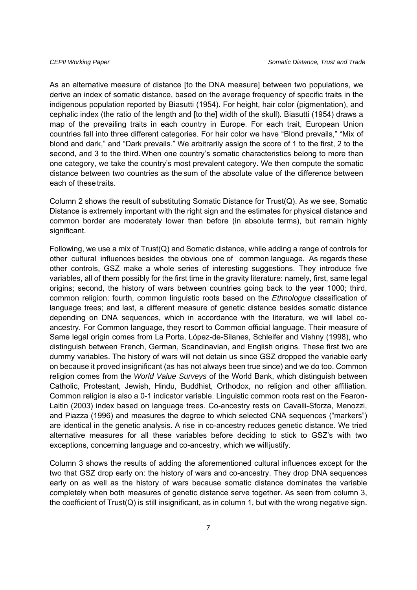As an alternative measure of distance [to the DNA measure] between two populations, we derive an index of somatic distance, based on the average frequency of specific traits in the indigenous population reported by Biasutti (1954). For height, hair color (pigmentation), and cephalic index (the ratio of the length and [to the] width of the skull). Biasutti (1954) draws a map of the prevailing traits in each country in Europe. For each trait, European Union countries fall into three different categories. For hair color we have "Blond prevails," "Mix of blond and dark," and "Dark prevails." We arbitrarily assign the score of 1 to the first, 2 to the second, and 3 to the third. When one country's somatic characteristics belong to more than one category, we take the country's most prevalent category. We then compute the somatic distance between two countries as the sum of the absolute value of the difference between each of these traits.

Column 2 shows the result of substituting Somatic Distance for Trust(Q). As we see, Somatic Distance is extremely important with the right sign and the estimates for physical distance and common border are moderately lower than before (in absolute terms), but remain highly significant.

Following, we use a mix of Trust(Q) and Somatic distance, while adding a range of controls for other cultural influences besides the obvious one of common language. As regards these other controls, GSZ make a whole series of interesting suggestions. They introduce five variables, all of them possibly for the first time in the gravity literature: namely, first, same legal origins; second, the history of wars between countries going back to the year 1000; third, common religion; fourth, common linguistic roots based on the *Ethnologue* classification of language trees; and last, a different measure of genetic distance besides somatic distance depending on DNA sequences, which in accordance with the literature, we will label coancestry. For Common language, they resort to Common official language. Their measure of Same legal origin comes from La Porta, López-de-Silanes, Schleifer and Vishny (1998), who distinguish between French, German, Scandinavian, and English origins. These first two are dummy variables. The history of wars will not detain us since GSZ dropped the variable early on because it proved insignificant (as has not always been true since) and we do too. Common religion comes from the *World Value Surveys* of the World Bank, which distinguish between Catholic, Protestant, Jewish, Hindu, Buddhist, Orthodox, no religion and other affiliation. Common religion is also a 0-1 indicator variable. Linguistic common roots rest on the Fearon-Laitin (2003) index based on language trees. Co-ancestry rests on Cavalli-Sforza, Menozzi, and Piazza (1996) and measures the degree to which selected CNA sequences ("markers") are identical in the genetic analysis. A rise in co-ancestry reduces genetic distance. We tried alternative measures for all these variables before deciding to stick to GSZ's with two exceptions, concerning language and co-ancestry, which we will justify.

Column 3 shows the results of adding the aforementioned cultural influences except for the two that GSZ drop early on: the history of wars and co-ancestry. They drop DNA sequences early on as well as the history of wars because somatic distance dominates the variable completely when both measures of genetic distance serve together. As seen from column 3, the coefficient of Trust(Q) is still insignificant, as in column 1, but with the wrong negative sign.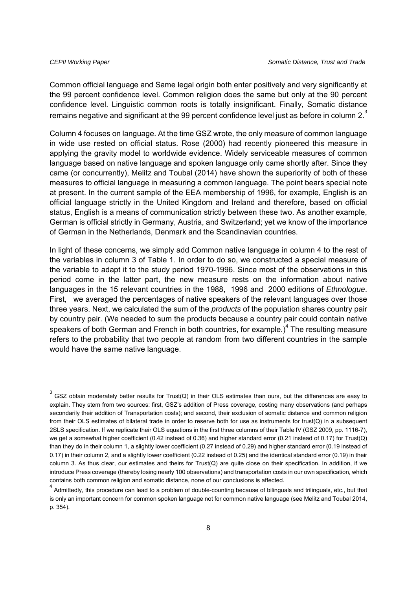Common official language and Same legal origin both enter positively and very significantly at the 99 percent confidence level. Common religion does the same but only at the 90 percent confidence level. Linguistic common roots is totally insignificant. Finally, Somatic distance remains negative and significant at the 99 percent confidence level just as before in column 2. $3$ 

Column 4 focuses on language. At the time GSZ wrote, the only measure of common language in wide use rested on official status. Rose (2000) had recently pioneered this measure in applying the gravity model to worldwide evidence. Widely serviceable measures of common language based on native language and spoken language only came shortly after. Since they came (or concurrently), Melitz and Toubal (2014) have shown the superiority of both of these measures to official language in measuring a common language. The point bears special note at present. In the current sample of the EEA membership of 1996, for example, English is an official language strictly in the United Kingdom and Ireland and therefore, based on official status, English is a means of communication strictly between these two. As another example, German is official strictly in Germany, Austria, and Switzerland; yet we know of the importance of German in the Netherlands, Denmark and the Scandinavian countries.

In light of these concerns, we simply add Common native language in column 4 to the rest of the variables in column 3 of Table 1. In order to do so, we constructed a special measure of the variable to adapt it to the study period 1970-1996. Since most of the observations in this period come in the latter part, the new measure rests on the information about native languages in the 15 relevant countries in the 1988, 1996 and 2000 editions of *Ethnologue*. First, we averaged the percentages of native speakers of the relevant languages over those three years. Next, we calculated the sum of the *products* of the population shares country pair by country pair. (We needed to sum the products because a country pair could contain native speakers of both German and French in both countries, for example.) $<sup>4</sup>$  The resulting measure</sup> refers to the probability that two people at random from two different countries in the sample would have the same native language.

<sup>&</sup>lt;sup>3</sup> GSZ obtain moderately better results for Trust(Q) in their OLS estimates than ours, but the differences are easy to explain. They stem from two sources: first, GSZ's addition of Press coverage, costing many observations (and perhaps secondarily their addition of Transportation costs); and second, their exclusion of somatic distance and common religion from their OLS estimates of bilateral trade in order to reserve both for use as instruments for trust(Q) in a subsequent 2SLS specification. If we replicate their OLS equations in the first three columns of their Table IV (GSZ 2009, pp. 1116-7), we get a somewhat higher coefficient (0.42 instead of 0.36) and higher standard error (0.21 instead of 0.17) for Trust(Q) than they do in their column 1, a slightly lower coefficient (0.27 instead of 0.29) and higher standard error (0.19 instead of 0.17) in their column 2, and a slightly lower coefficient (0.22 instead of 0.25) and the identical standard error (0.19) in their column 3. As thus clear, our estimates and theirs for  $Trust(Q)$  are quite close on their specification. In addition, if we introduce Press coverage (thereby losing nearly 100 observations) and transportation costs in our own specification, which contains both common religion and somatic distance, none of our conclusions is affected.

 $4$  Admittedly, this procedure can lead to a problem of double-counting because of bilinguals and trilinguals, etc., but that is only an important concern for common spoken language not for common native language (see Melitz and Toubal 2014, p. 354).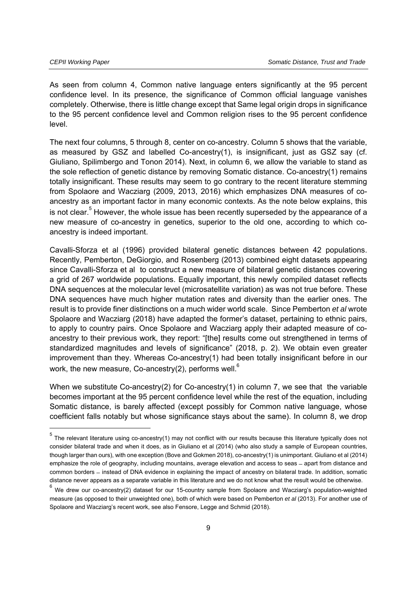As seen from column 4, Common native language enters significantly at the 95 percent confidence level. In its presence, the significance of Common official language vanishes completely. Otherwise, there is little change except that Same legal origin drops in significance to the 95 percent confidence level and Common religion rises to the 95 percent confidence level.

The next four columns, 5 through 8, center on co-ancestry. Column 5 shows that the variable, as measured by GSZ and labelled Co-ancestry(1), is insignificant, just as GSZ say (cf. Giuliano, Spilimbergo and Tonon 2014). Next, in column 6, we allow the variable to stand as the sole reflection of genetic distance by removing Somatic distance. Co-ancestry(1) remains totally insignificant. These results may seem to go contrary to the recent literature stemming from Spolaore and Wacziarg (2009, 2013, 2016) which emphasizes DNA measures of coancestry as an important factor in many economic contexts. As the note below explains, this is not clear.<sup>5</sup> However, the whole issue has been recently superseded by the appearance of a new measure of co-ancestry in genetics, superior to the old one, according to which coancestry is indeed important.

Cavalli-Sforza et al (1996) provided bilateral genetic distances between 42 populations. Recently, Pemberton, DeGiorgio, and Rosenberg (2013) combined eight datasets appearing since Cavalli-Sforza et al to construct a new measure of bilateral genetic distances covering a grid of 267 worldwide populations. Equally important, this newly compiled dataset reflects DNA sequences at the molecular level (microsatellite variation) as was not true before. These DNA sequences have much higher mutation rates and diversity than the earlier ones. The result is to provide finer distinctions on a much wider world scale. Since Pemberton *et al* wrote Spolaore and Wacziarg (2018) have adapted the former's dataset, pertaining to ethnic pairs, to apply to country pairs. Once Spolaore and Wacziarg apply their adapted measure of coancestry to their previous work, they report: "[the] results come out strengthened in terms of standardized magnitudes and levels of significance" (2018, p. 2). We obtain even greater improvement than they. Whereas Co-ancestry(1) had been totally insignificant before in our work, the new measure, Co-ancestry(2), performs well.<sup>6</sup>

When we substitute Co-ancestry(2) for Co-ancestry(1) in column 7, we see that the variable becomes important at the 95 percent confidence level while the rest of the equation, including Somatic distance, is barely affected (except possibly for Common native language, whose coefficient falls notably but whose significance stays about the same). In column 8, we drop

<sup>&</sup>lt;sup>5</sup> The relevant literature using co-ancestry(1) may not conflict with our results because this literature typically does not consider bilateral trade and when it does, as in Giuliano et al (2014) (who also study a sample of European countries, though larger than ours), with one exception (Bove and Gokmen 2018), co-ancestry(1) is unimportant. Giuliano et al (2014) emphasize the role of geography, including mountains, average elevation and access to seas ̶ apart from distance and common borders ̶ instead of DNA evidence in explaining the impact of ancestry on bilateral trade. In addition, somatic distance never appears as a separate variable in this literature and we do not know what the result would be otherwise.

<sup>6</sup> We drew our co-ancestry(2) dataset for our 15-country sample from Spolaore and Wacziarg's population-weighted measure (as opposed to their unweighted one), both of which were based on Pemberton *et al* (2013). For another use of Spolaore and Wacziarg's recent work, see also Fensore, Legge and Schmid (2018).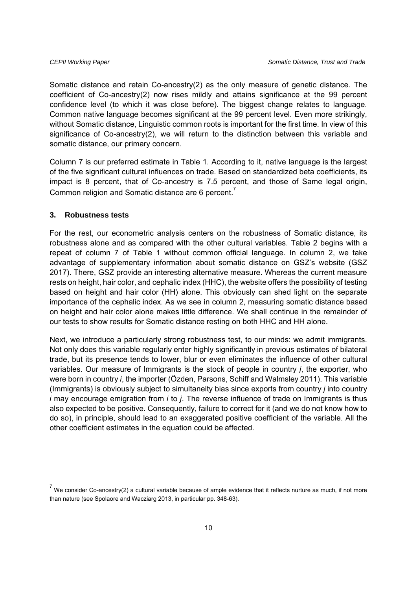Somatic distance and retain Co-ancestry(2) as the only measure of genetic distance. The coefficient of Co-ancestry(2) now rises mildly and attains significance at the 99 percent confidence level (to which it was close before). The biggest change relates to language. Common native language becomes significant at the 99 percent level. Even more strikingly, without Somatic distance, Linguistic common roots is important for the first time. In view of this significance of Co-ancestry(2), we will return to the distinction between this variable and somatic distance, our primary concern.

Column 7 is our preferred estimate in Table 1. According to it, native language is the largest of the five significant cultural influences on trade. Based on standardized beta coefficients, its impact is 8 percent, that of Co-ancestry is 7.5 percent, and those of Same legal origin, Common religion and Somatic distance are 6 percent. $^7$ 

#### **3. Robustness tests**

-

For the rest, our econometric analysis centers on the robustness of Somatic distance, its robustness alone and as compared with the other cultural variables. Table 2 begins with a repeat of column 7 of Table 1 without common official language. In column 2, we take advantage of supplementary information about somatic distance on GSZ's website (GSZ 2017). There, GSZ provide an interesting alternative measure. Whereas the current measure rests on height, hair color, and cephalic index (HHC), the website offers the possibility of testing based on height and hair color (HH) alone. This obviously can shed light on the separate importance of the cephalic index. As we see in column 2, measuring somatic distance based on height and hair color alone makes little difference. We shall continue in the remainder of our tests to show results for Somatic distance resting on both HHC and HH alone.

Next, we introduce a particularly strong robustness test, to our minds: we admit immigrants. Not only does this variable regularly enter highly significantly in previous estimates of bilateral trade, but its presence tends to lower, blur or even eliminates the influence of other cultural variables. Our measure of Immigrants is the stock of people in country *j*, the exporter, who were born in country *i*, the importer (Özden, Parsons, Schiff and Walmsley 2011). This variable (Immigrants) is obviously subject to simultaneity bias since exports from country *j* into country *i* may encourage emigration from *i* to *j*. The reverse influence of trade on Immigrants is thus also expected to be positive. Consequently, failure to correct for it (and we do not know how to do so), in principle, should lead to an exaggerated positive coefficient of the variable. All the other coefficient estimates in the equation could be affected.

 $^7$  We consider Co-ancestry(2) a cultural variable because of ample evidence that it reflects nurture as much, if not more than nature (see Spolaore and Wacziarg 2013, in particular pp. 348-63).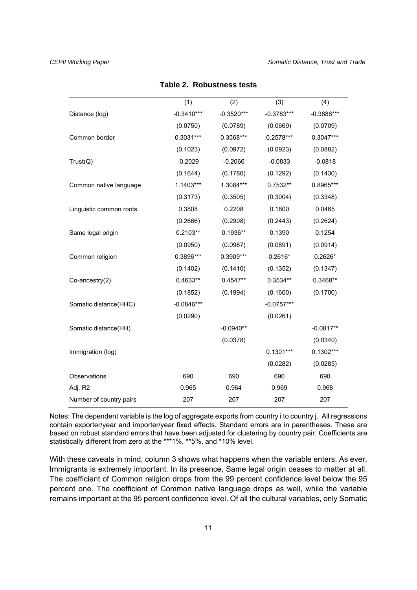|                         | (1)          | (2)          | (3)          | (4)          |
|-------------------------|--------------|--------------|--------------|--------------|
| Distance (log)          | $-0.3410***$ | $-0.3520***$ | $-0.3783***$ | $-0.3888***$ |
|                         | (0.0750)     | (0.0789)     | (0.0669)     | (0.0709)     |
| Common border           | 0.3031***    | 0.3568***    | 0.2578***    | 0.3047***    |
|                         | (0.1023)     | (0.0972)     | (0.0923)     | (0.0882)     |
| Trust(Q)                | $-0.2029$    | $-0.2066$    | $-0.0833$    | $-0.0818$    |
|                         | (0.1644)     | (0.1780)     | (0.1292)     | (0.1430)     |
| Common native language  | 1.1403***    | 1.3084***    | 0.7532**     | 0.8965***    |
|                         | (0.3173)     | (0.3505)     | (0.3004)     | (0.3348)     |
| Linguistic common roots | 0.3808       | 0.2208       | 0.1800       | 0.0465       |
|                         | (0.2666)     | (0.2908)     | (0.2443)     | (0.2624)     |
| Same legal origin       | $0.2103**$   | $0.1936**$   | 0.1390       | 0.1254       |
|                         | (0.0950)     | (0.0967)     | (0.0891)     | (0.0914)     |
| Common religion         | 0.3896***    | 0.3909***    | $0.2616*$    | $0.2626*$    |
|                         | (0.1402)     | (0.1410)     | (0.1352)     | (0.1347)     |
| Co-ancestry(2)          | 0.4633**     | $0.4547**$   | 0.3534**     | 0.3468**     |
|                         | (0.1852)     | (0.1994)     | (0.1600)     | (0.1700)     |
| Somatic distance(HHC)   | $-0.0846***$ |              | $-0.0757***$ |              |
|                         | (0.0290)     |              | (0.0261)     |              |
| Somatic distance(HH)    |              | $-0.0940**$  |              | $-0.0817**$  |
|                         |              | (0.0378)     |              | (0.0340)     |
| Immigration (log)       |              |              | $0.1301***$  | $0.1302***$  |
|                         |              |              | (0.0282)     | (0.0285)     |
| Observations            | 690          | 690          | 690          | 690          |
| Adj. R2                 | 0.965        | 0.964        | 0.969        | 0.968        |
| Number of country pairs | 207          | 207          | 207          | 207          |
|                         |              |              |              |              |

#### **Table 2. Robustness tests**

Notes: The dependent variable is the log of aggregate exports from country i to country j. All regressions contain exporter/year and importer/year fixed effects. Standard errors are in parentheses. These are based on robust standard errors that have been adjusted for clustering by country pair. Coefficients are statistically different from zero at the \*\*\*1%, \*\*5%, and \*10% level.

With these caveats in mind, column 3 shows what happens when the variable enters. As ever, Immigrants is extremely important. In its presence, Same legal origin ceases to matter at all. The coefficient of Common religion drops from the 99 percent confidence level below the 95 percent one. The coefficient of Common native language drops as well, while the variable remains important at the 95 percent confidence level. Of all the cultural variables, only Somatic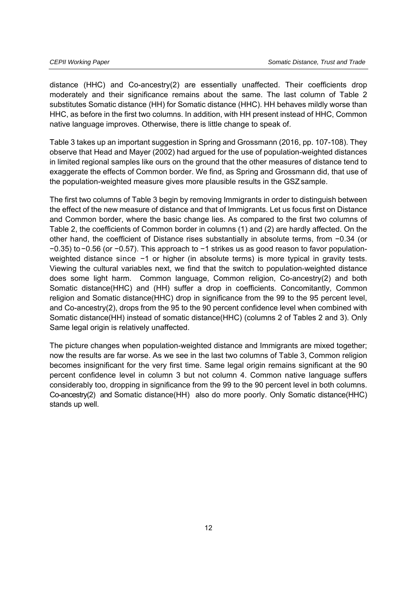distance (HHC) and Co-ancestry(2) are essentially unaffected. Their coefficients drop moderately and their significance remains about the same. The last column of Table 2 substitutes Somatic distance (HH) for Somatic distance (HHC). HH behaves mildly worse than HHC, as before in the first two columns. In addition, with HH present instead of HHC, Common native language improves. Otherwise, there is little change to speak of.

Table 3 takes up an important suggestion in Spring and Grossmann (2016, pp. 107-108). They observe that Head and Mayer (2002) had argued for the use of population-weighted distances in limited regional samples like ours on the ground that the other measures of distance tend to exaggerate the effects of Common border. We find, as Spring and Grossmann did, that use of the population-weighted measure gives more plausible results in the GSZ sample.

The first two columns of Table 3 begin by removing Immigrants in order to distinguish between the effect of the new measure of distance and that of Immigrants. Let us focus first on Distance and Common border, where the basic change lies. As compared to the first two columns of Table 2, the coefficients of Common border in columns (1) and (2) are hardly affected. On the other hand, the coefficient of Distance rises substantially in absolute terms, from −0.34 (or −0.35) to −0.56 (or −0.57). This approach to −1 strikes us as good reason to favor populationweighted distance since −1 or higher (in absolute terms) is more typical in gravity tests. Viewing the cultural variables next, we find that the switch to population-weighted distance does some light harm. Common language, Common religion, Co-ancestry(2) and both Somatic distance(HHC) and (HH) suffer a drop in coefficients. Concomitantly, Common religion and Somatic distance(HHC) drop in significance from the 99 to the 95 percent level, and Co-ancestry(2), drops from the 95 to the 90 percent confidence level when combined with Somatic distance(HH) instead of somatic distance(HHC) (columns 2 of Tables 2 and 3). Only Same legal origin is relatively unaffected.

The picture changes when population-weighted distance and Immigrants are mixed together; now the results are far worse. As we see in the last two columns of Table 3, Common religion becomes insignificant for the very first time. Same legal origin remains significant at the 90 percent confidence level in column 3 but not column 4. Common native language suffers considerably too, dropping in significance from the 99 to the 90 percent level in both columns. Co-ancestry(2) and Somatic distance(HH) also do more poorly. Only Somatic distance(HHC) stands up well.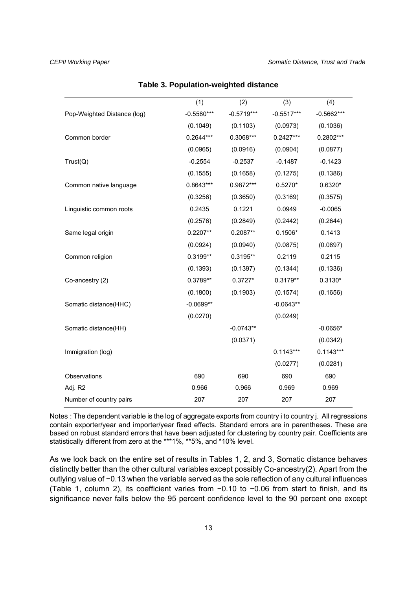|                             | (1)          | (2)          | (3)          | (4)          |
|-----------------------------|--------------|--------------|--------------|--------------|
| Pop-Weighted Distance (log) | $-0.5580***$ | $-0.5719***$ | $-0.5517***$ | $-0.5662***$ |
|                             | (0.1049)     | (0.1103)     | (0.0973)     | (0.1036)     |
| Common border               | $0.2644***$  | 0.3068***    | $0.2427***$  | 0.2802***    |
|                             | (0.0965)     | (0.0916)     | (0.0904)     | (0.0877)     |
| Trust(Q)                    | $-0.2554$    | $-0.2537$    | $-0.1487$    | $-0.1423$    |
|                             | (0.1555)     | (0.1658)     | (0.1275)     | (0.1386)     |
| Common native language      | 0.8643***    | 0.9872***    | $0.5270*$    | 0.6320*      |
|                             | (0.3256)     | (0.3650)     | (0.3169)     | (0.3575)     |
| Linguistic common roots     | 0.2435       | 0.1221       | 0.0949       | $-0.0065$    |
|                             | (0.2576)     | (0.2849)     | (0.2442)     | (0.2644)     |
| Same legal origin           | $0.2207**$   | 0.2087**     | $0.1506*$    | 0.1413       |
|                             | (0.0924)     | (0.0940)     | (0.0875)     | (0.0897)     |
| Common religion             | $0.3199**$   | 0.3195**     | 0.2119       | 0.2115       |
|                             | (0.1393)     | (0.1397)     | (0.1344)     | (0.1336)     |
| Co-ancestry (2)             | 0.3789**     | $0.3727*$    | 0.3179**     | $0.3130*$    |
|                             | (0.1800)     | (0.1903)     | (0.1574)     | (0.1656)     |
| Somatic distance(HHC)       | $-0.0699**$  |              | $-0.0643**$  |              |
|                             | (0.0270)     |              | (0.0249)     |              |
| Somatic distance(HH)        |              | $-0.0743**$  |              | $-0.0656*$   |
|                             |              | (0.0371)     |              | (0.0342)     |
| Immigration (log)           |              |              | $0.1143***$  | $0.1143***$  |
|                             |              |              | (0.0277)     | (0.0281)     |
| Observations                | 690          | 690          | 690          | 690          |
| Adj. R2                     | 0.966        | 0.966        | 0.969        | 0.969        |
| Number of country pairs     | 207          | 207          | 207          | 207          |

#### **Table 3. Population-weighted distance**

Notes : The dependent variable is the log of aggregate exports from country i to country j. All regressions contain exporter/year and importer/year fixed effects. Standard errors are in parentheses. These are based on robust standard errors that have been adjusted for clustering by country pair. Coefficients are statistically different from zero at the \*\*\*1%, \*\*5%, and \*10% level.

As we look back on the entire set of results in Tables 1, 2, and 3, Somatic distance behaves distinctly better than the other cultural variables except possibly Co-ancestry(2). Apart from the outlying value of −0.13 when the variable served as the sole reflection of any cultural influences (Table 1, column 2), its coefficient varies from −0.10 to −0.06 from start to finish, and its significance never falls below the 95 percent confidence level to the 90 percent one except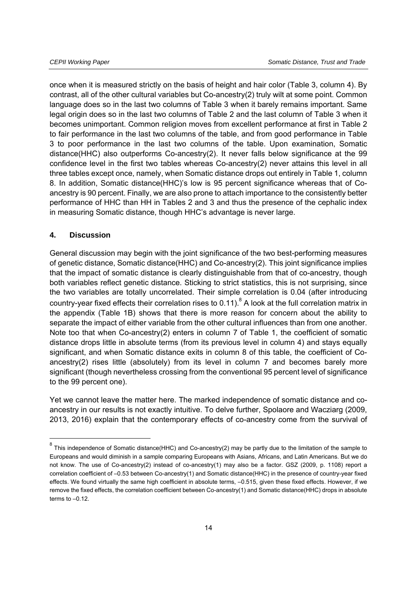once when it is measured strictly on the basis of height and hair color (Table 3, column 4). By contrast, all of the other cultural variables but Co-ancestry(2) truly wilt at some point. Common language does so in the last two columns of Table 3 when it barely remains important. Same legal origin does so in the last two columns of Table 2 and the last column of Table 3 when it becomes unimportant. Common religion moves from excellent performance at first in Table 2 to fair performance in the last two columns of the table, and from good performance in Table 3 to poor performance in the last two columns of the table. Upon examination, Somatic distance(HHC) also outperforms Co-ancestry(2). It never falls below significance at the 99 confidence level in the first two tables whereas Co-ancestry(2) never attains this level in all three tables except once, namely, when Somatic distance drops out entirely in Table 1, column 8. In addition, Somatic distance(HHC)'s low is 95 percent significance whereas that of Coancestry is 90 percent. Finally, we are also prone to attach importance to the consistently better performance of HHC than HH in Tables 2 and 3 and thus the presence of the cephalic index in measuring Somatic distance, though HHC's advantage is never large.

#### **4. Discussion**

-

General discussion may begin with the joint significance of the two best-performing measures of genetic distance, Somatic distance(HHC) and Co-ancestry(2). This joint significance implies that the impact of somatic distance is clearly distinguishable from that of co-ancestry, though both variables reflect genetic distance. Sticking to strict statistics, this is not surprising, since the two variables are totally uncorrelated. Their simple correlation is 0.04 (after introducing country-year fixed effects their correlation rises to 0.11).<sup>8</sup> A look at the full correlation matrix in the appendix (Table 1B) shows that there is more reason for concern about the ability to separate the impact of either variable from the other cultural influences than from one another. Note too that when Co-ancestry(2) enters in column 7 of Table 1, the coefficient of somatic distance drops little in absolute terms (from its previous level in column 4) and stays equally significant, and when Somatic distance exits in column 8 of this table, the coefficient of Coancestry(2) rises little (absolutely) from its level in column 7 and becomes barely more significant (though nevertheless crossing from the conventional 95 percent level of significance to the 99 percent one).

Yet we cannot leave the matter here. The marked independence of somatic distance and coancestry in our results is not exactly intuitive. To delve further, Spolaore and Wacziarg (2009, 2013, 2016) explain that the contemporary effects of co-ancestry come from the survival of

 $^8$  This independence of Somatic distance(HHC) and Co-ancestry(2) may be partly due to the limitation of the sample to Europeans and would diminish in a sample comparing Europeans with Asians, Africans, and Latin Americans. But we do not know. The use of Co-ancestry(2) instead of co-ancestry(1) may also be a factor. GSZ (2009, p. 1108) report a correlation coefficient of –0.53 between Co-ancestry(1) and Somatic distance(HHC) in the presence of country-year fixed effects. We found virtually the same high coefficient in absolute terms, –0.515, given these fixed effects. However, if we remove the fixed effects, the correlation coefficient between Co-ancestry(1) and Somatic distance(HHC) drops in absolute terms to –0.12.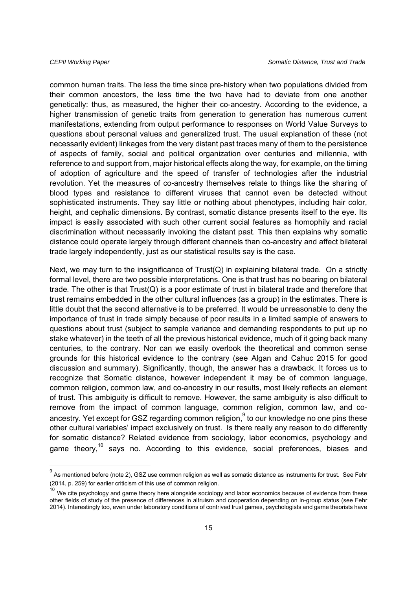common human traits. The less the time since pre-history when two populations divided from their common ancestors, the less time the two have had to deviate from one another genetically: thus, as measured, the higher their co-ancestry. According to the evidence, a higher transmission of genetic traits from generation to generation has numerous current manifestations, extending from output performance to responses on World Value Surveys to questions about personal values and generalized trust. The usual explanation of these (not necessarily evident) linkages from the very distant past traces many of them to the persistence of aspects of family, social and political organization over centuries and millennia, with reference to and support from, major historical effects along the way, for example, on the timing of adoption of agriculture and the speed of transfer of technologies after the industrial revolution. Yet the measures of co-ancestry themselves relate to things like the sharing of blood types and resistance to different viruses that cannot even be detected without sophisticated instruments. They say little or nothing about phenotypes, including hair color, height, and cephalic dimensions. By contrast, somatic distance presents itself to the eye. Its impact is easily associated with such other current social features as homophily and racial discrimination without necessarily invoking the distant past. This then explains why somatic distance could operate largely through different channels than co-ancestry and affect bilateral trade largely independently, just as our statistical results say is the case.

Next, we may turn to the insignificance of Trust(Q) in explaining bilateral trade. On a strictly formal level, there are two possible interpretations. One is that trust has no bearing on bilateral trade*.* The other is that Trust(Q) is a poor estimate of trust in bilateral trade and therefore that trust remains embedded in the other cultural influences (as a group) in the estimates. There is little doubt that the second alternative is to be preferred. It would be unreasonable to deny the importance of trust in trade simply because of poor results in a limited sample of answers to questions about trust (subject to sample variance and demanding respondents to put up no stake whatever) in the teeth of all the previous historical evidence, much of it going back many centuries, to the contrary. Nor can we easily overlook the theoretical and common sense grounds for this historical evidence to the contrary (see Algan and Cahuc 2015 for good discussion and summary). Significantly, though, the answer has a drawback. It forces us to recognize that Somatic distance, however independent it may be of common language, common religion, common law, and co-ancestry in our results, most likely reflects an element of trust. This ambiguity is difficult to remove. However, the same ambiguity is also difficult to remove from the impact of common language, common religion, common law, and coancestry. Yet except for GSZ regarding common religion, $^{9}$  to our knowledge no one pins these other cultural variables' impact exclusively on trust. Is there really any reason to do differently for somatic distance? Related evidence from sociology, labor economics, psychology and game theory,<sup>10</sup> says no. According to this evidence, social preferences, biases and

<sup>9</sup> As mentioned before (note 2), GSZ use common religion as well as somatic distance as instruments for trust. See Fehr (2014, p. 259) for earlier criticism of this use of common religion.

<sup>&</sup>lt;sup>10</sup> We cite psychology and game theory here alongside sociology and labor economics because of evidence from these other fields of study of the presence of differences in altruism and cooperation depending on in-group status (see Fehr 2014). Interestingly too, even under laboratory conditions of contrived trust games, psychologists and game theorists have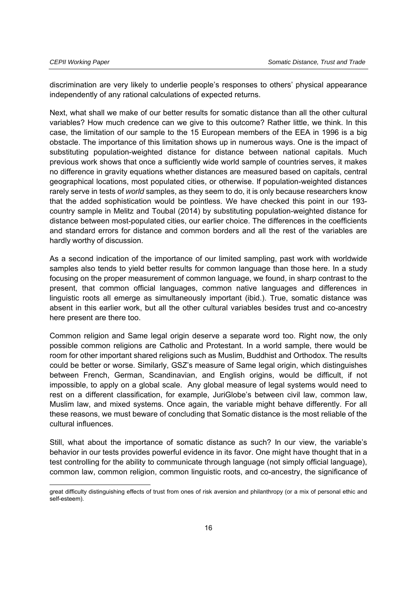discrimination are very likely to underlie people's responses to others' physical appearance independently of any rational calculations of expected returns.

Next, what shall we make of our better results for somatic distance than all the other cultural variables? How much credence can we give to this outcome? Rather little, we think. In this case, the limitation of our sample to the 15 European members of the EEA in 1996 is a big obstacle. The importance of this limitation shows up in numerous ways. One is the impact of substituting population-weighted distance for distance between national capitals. Much previous work shows that once a sufficiently wide world sample of countries serves, it makes no difference in gravity equations whether distances are measured based on capitals, central geographical locations, most populated cities, or otherwise. If population-weighted distances rarely serve in tests of *world* samples, as they seem to do, it is only because researchers know that the added sophistication would be pointless. We have checked this point in our 193 country sample in Melitz and Toubal (2014) by substituting population-weighted distance for distance between most-populated cities, our earlier choice. The differences in the coefficients and standard errors for distance and common borders and all the rest of the variables are hardly worthy of discussion.

As a second indication of the importance of our limited sampling, past work with worldwide samples also tends to yield better results for common language than those here. In a study focusing on the proper measurement of common language, we found, in sharp contrast to the present, that common official languages, common native languages and differences in linguistic roots all emerge as simultaneously important (ibid.). True, somatic distance was absent in this earlier work, but all the other cultural variables besides trust and co-ancestry here present are there too.

Common religion and Same legal origin deserve a separate word too. Right now, the only possible common religions are Catholic and Protestant. In a world sample, there would be room for other important shared religions such as Muslim, Buddhist and Orthodox. The results could be better or worse. Similarly, GSZ's measure of Same legal origin, which distinguishes between French, German, Scandinavian, and English origins, would be difficult, if not impossible, to apply on a global scale. Any global measure of legal systems would need to rest on a different classification, for example, JuriGlobe's between civil law, common law, Muslim law, and mixed systems. Once again, the variable might behave differently. For all these reasons, we must beware of concluding that Somatic distance is the most reliable of the cultural influences.

Still, what about the importance of somatic distance as such? In our view, the variable's behavior in our tests provides powerful evidence in its favor. One might have thought that in a test controlling for the ability to communicate through language (not simply official language), common law, common religion, common linguistic roots, and co-ancestry, the significance of

great difficulty distinguishing effects of trust from ones of risk aversion and philanthropy (or a mix of personal ethic and self-esteem).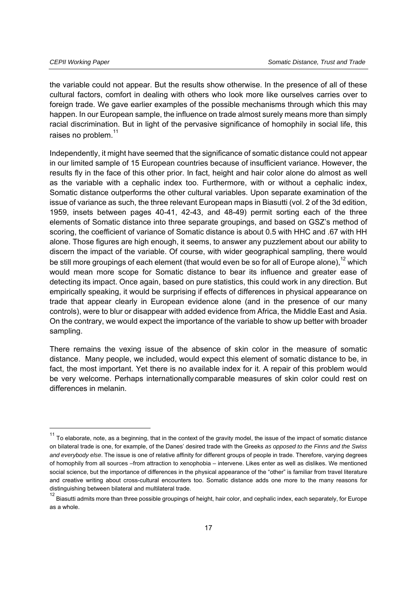the variable could not appear. But the results show otherwise. In the presence of all of these cultural factors, comfort in dealing with others who look more like ourselves carries over to foreign trade. We gave earlier examples of the possible mechanisms through which this may happen. In our European sample, the influence on trade almost surely means more than simply racial discrimination. But in light of the pervasive significance of homophily in social life, this raises no problem.<sup>11</sup>

Independently, it might have seemed that the significance of somatic distance could not appear in our limited sample of 15 European countries because of insufficient variance. However, the results fly in the face of this other prior. In fact, height and hair color alone do almost as well as the variable with a cephalic index too. Furthermore, with or without a cephalic index, Somatic distance outperforms the other cultural variables. Upon separate examination of the issue of variance as such, the three relevant European maps in Biasutti (vol. 2 of the 3d edition, 1959, insets between pages 40-41, 42-43, and 48-49) permit sorting each of the three elements of Somatic distance into three separate groupings, and based on GSZ's method of scoring, the coefficient of variance of Somatic distance is about 0.5 with HHC and .67 with HH alone. Those figures are high enough, it seems, to answer any puzzlement about our ability to discern the impact of the variable. Of course, with wider geographical sampling, there would be still more groupings of each element (that would even be so for all of Europe alone),  $12$  which would mean more scope for Somatic distance to bear its influence and greater ease of detecting its impact. Once again, based on pure statistics, this could work in any direction. But empirically speaking, it would be surprising if effects of differences in physical appearance on trade that appear clearly in European evidence alone (and in the presence of our many controls), were to blur or disappear with added evidence from Africa, the Middle East and Asia. On the contrary, we would expect the importance of the variable to show up better with broader sampling.

There remains the vexing issue of the absence of skin color in the measure of somatic distance. Many people, we included, would expect this element of somatic distance to be, in fact, the most important. Yet there is no available index for it. A repair of this problem would be very welcome. Perhaps internationally comparable measures of skin color could rest on differences in melanin.

<sup>&</sup>lt;sup>11</sup> To elaborate, note, as a beginning, that in the context of the gravity model, the issue of the impact of somatic distance on bilateral trade is one, for example, of the Danes' desired trade with the Greeks *as opposed to the Finns and the Swiss and everybody else*. The issue is one of relative affinity for different groups of people in trade. Therefore, varying degrees of homophily from all sources –from attraction to xenophobia – intervene. Likes enter as well as dislikes. We mentioned social science, but the importance of differences in the physical appearance of the "other" is familiar from travel literature and creative writing about cross-cultural encounters too. Somatic distance adds one more to the many reasons for distinguishing between bilateral and multilateral trade.

<sup>&</sup>lt;sup>12</sup> Biasutti admits more than three possible groupings of height, hair color, and cephalic index, each separately, for Europe as a whole.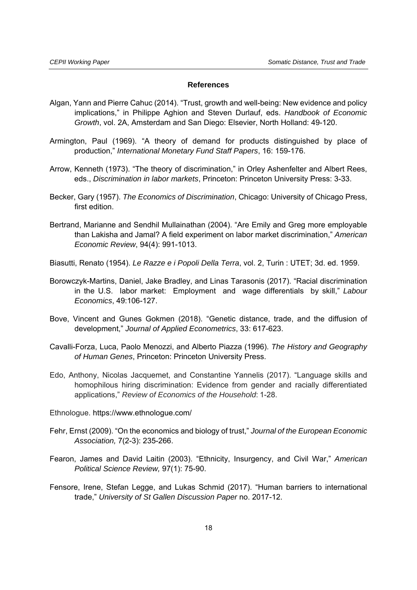#### **References**

- Algan, Yann and Pierre Cahuc (2014). "Trust, growth and well-being: New evidence and policy implications," in Philippe Aghion and Steven Durlauf, eds. *Handbook of Economic Growth*, vol. 2A, Amsterdam and San Diego: Elsevier, North Holland: 49-120.
- Armington, Paul (1969). "A theory of demand for products distinguished by place of production," *International Monetary Fund Staff Papers*, 16: 159-176.
- Arrow, Kenneth (1973). "The theory of discrimination," in Orley Ashenfelter and Albert Rees, eds., *Discrimination in labor markets*, Princeton: Princeton University Press: 3-33.
- Becker, Gary (1957). *The Economics of Discrimination*, Chicago: University of Chicago Press, first edition.
- Bertrand, Marianne and Sendhil Mullainathan (2004). "Are Emily and Greg more employable than Lakisha and Jamal? A field experiment on labor market discrimination," *American Economic Review*, 94(4): 991-1013.
- Biasutti, Renato (1954). *Le Razze e i Popoli Della Terra*, vol. 2, Turin : UTET; 3d. ed. 1959.
- Borowczyk-Martins, Daniel, Jake Bradley, and Linas Tarasonis (2017). "Racial discrimination in the U.S. labor market: Employment and wage differentials by skill," *Labour Economics*, 49:106-127.
- Bove, Vincent and Gunes Gokmen (2018). "Genetic distance, trade, and the diffusion of development," *Journal of Applied Econometrics*, 33: 617-623.
- Cavalli-Forza, Luca, Paolo Menozzi, and Alberto Piazza (1996). *The History and Geography of Human Genes*, Princeton: Princeton University Press.
- Edo, Anthony, Nicolas Jacquemet, and Constantine Yannelis (2017). "Language skills and homophilous hiring discrimination: Evidence from gender and racially differentiated applications," *Review of Economics of the Household*: 1-28.

Ethnologue. https://www.ethnologue.com/

- Fehr, Ernst (2009). "On the economics and biology of trust," *Journal of the European Economic Association,* 7(2-3): 235-266.
- Fearon, James and David Laitin (2003). "Ethnicity, Insurgency, and Civil War," *American Political Science Review,* 97(1): 75-90.
- Fensore, Irene, Stefan Legge, and Lukas Schmid (2017). "Human barriers to international trade," *University of St Gallen Discussion Paper* no. 2017-12.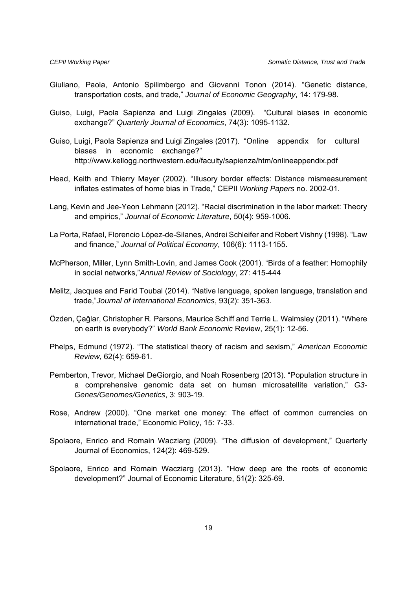- Giuliano, Paola, Antonio Spilimbergo and Giovanni Tonon (2014). "Genetic distance, transportation costs, and trade," *Journal of Economic Geography*, 14: 179-98.
- Guiso, Luigi, Paola Sapienza and Luigi Zingales (2009). "Cultural biases in economic exchange?" *Quarterly Journal of Economics*, 74(3): 1095-1132.
- Guiso, Luigi, Paola Sapienza and Luigi Zingales (2017). "Online appendix for cultural biases in economic exchange?" http://www.kellogg.northwestern.edu/faculty/sapienza/htm/onlineappendix.pdf
- Head, Keith and Thierry Mayer (2002). "Illusory border effects: Distance mismeasurement inflates estimates of home bias in Trade," CEPII *Working Papers* no. 2002-01.
- Lang, Kevin and Jee-Yeon Lehmann (2012). "Racial discrimination in the labor market: Theory and empirics," *Journal of Economic Literature*, 50(4): 959-1006.
- La Porta, Rafael, Florencio López-de-Silanes, Andrei Schleifer and Robert Vishny (1998). "Law and finance," *Journal of Political Economy*, 106(6): 1113-1155.
- McPherson, Miller, Lynn Smith-Lovin, and James Cook (2001). "Birds of a feather: Homophily in social networks,"*Annual Review of Sociology*, 27: 415-444
- Melitz, Jacques and Farid Toubal (2014). "Native language, spoken language, translation and trade,"*Journal of International Economics*, 93(2): 351-363.
- Özden, Çağlar, Christopher R. Parsons, Maurice Schiff and Terrie L. Walmsley (2011). "Where on earth is everybody?" *World Bank Economic* Review, 25(1): 12-56.
- Phelps, Edmund (1972). "The statistical theory of racism and sexism," *American Economic Review*, 62(4): 659-61.
- Pemberton, Trevor, Michael DeGiorgio, and Noah Rosenberg (2013). "Population structure in a comprehensive genomic data set on human microsatellite variation," *G3- Genes/Genomes/Genetics*, 3: 903-19.
- Rose, Andrew (2000). "One market one money: The effect of common currencies on international trade," Economic Policy, 15: 7-33.
- Spolaore, Enrico and Romain Wacziarg (2009). "The diffusion of development," Quarterly Journal of Economics, 124(2): 469-529.
- Spolaore, Enrico and Romain Wacziarg (2013). "How deep are the roots of economic development?" Journal of Economic Literature, 51(2): 325-69.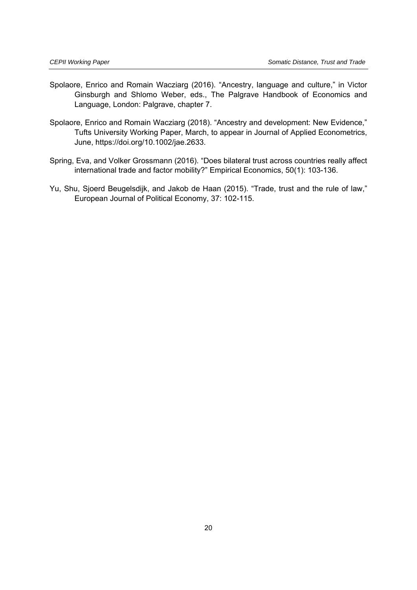- Spolaore, Enrico and Romain Wacziarg (2016). "Ancestry, language and culture," in Victor Ginsburgh and Shlomo Weber, eds., The Palgrave Handbook of Economics and Language, London: Palgrave, chapter 7.
- Spolaore, Enrico and Romain Wacziarg (2018). "Ancestry and development: New Evidence," Tufts University Working Paper, March, to appear in Journal of Applied Econometrics, June, https://doi.org/10.1002/jae.2633.
- Spring, Eva, and Volker Grossmann (2016). "Does bilateral trust across countries really affect international trade and factor mobility?" Empirical Economics, 50(1): 103-136.
- Yu, Shu, Sjoerd Beugelsdijk, and Jakob de Haan (2015). "Trade, trust and the rule of law," European Journal of Political Economy, 37: 102-115.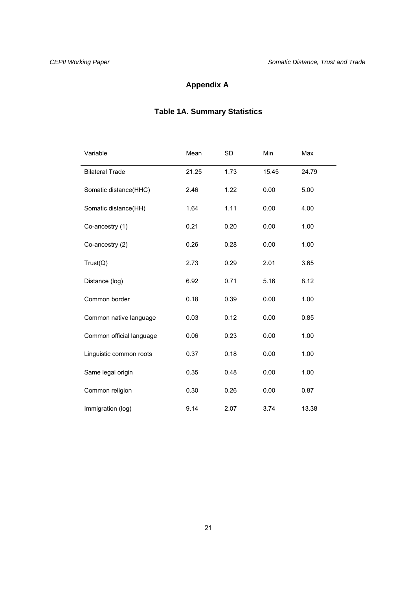## **Appendix A**

| Variable                 | Mean  | <b>SD</b> | Min   | Max   |
|--------------------------|-------|-----------|-------|-------|
| <b>Bilateral Trade</b>   | 21.25 | 1.73      | 15.45 | 24.79 |
| Somatic distance(HHC)    | 2.46  | 1.22      | 0.00  | 5.00  |
| Somatic distance(HH)     | 1.64  | 1.11      | 0.00  | 4.00  |
| Co-ancestry (1)          | 0.21  | 0.20      | 0.00  | 1.00  |
| Co-ancestry (2)          | 0.26  | 0.28      | 0.00  | 1.00  |
| Trust(Q)                 | 2.73  | 0.29      | 2.01  | 3.65  |
| Distance (log)           | 6.92  | 0.71      | 5.16  | 8.12  |
| Common border            | 0.18  | 0.39      | 0.00  | 1.00  |
| Common native language   | 0.03  | 0.12      | 0.00  | 0.85  |
| Common official language | 0.06  | 0.23      | 0.00  | 1.00  |
| Linguistic common roots  | 0.37  | 0.18      | 0.00  | 1.00  |
| Same legal origin        | 0.35  | 0.48      | 0.00  | 1.00  |
| Common religion          | 0.30  | 0.26      | 0.00  | 0.87  |
| Immigration (log)        | 9.14  | 2.07      | 3.74  | 13.38 |

### **Table 1A. Summary Statistics**